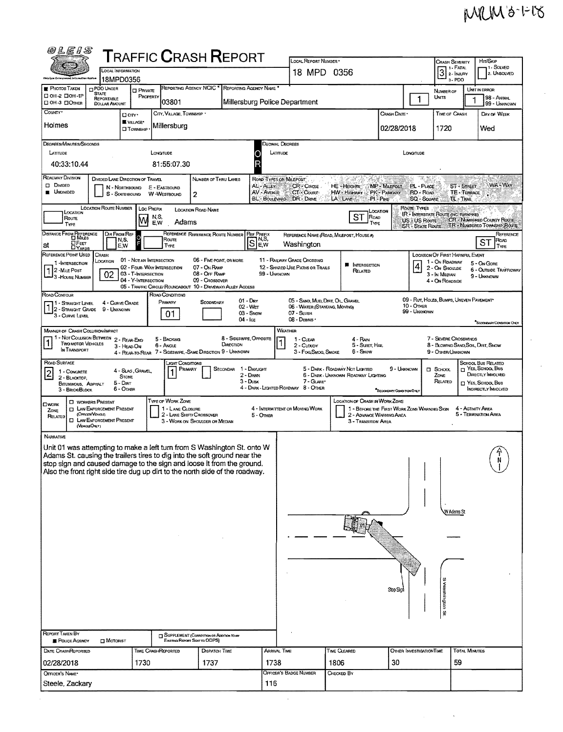## MRM3-1-18

 $\hat{\boldsymbol{\epsilon}}$ 

| <i>@LEIS</i>                                                                                                                                          |                                   |                                            |                                               | <b>TRAFFIC CRASH REPORT</b>                                 |                                      | LOCAL REPORT NUMBER                                               |                                                                         |                                       |                                 | <b>CRASH SEVERITY</b>                                     |                      | HIT/SKIP                                                                                         |
|-------------------------------------------------------------------------------------------------------------------------------------------------------|-----------------------------------|--------------------------------------------|-----------------------------------------------|-------------------------------------------------------------|--------------------------------------|-------------------------------------------------------------------|-------------------------------------------------------------------------|---------------------------------------|---------------------------------|-----------------------------------------------------------|----------------------|--------------------------------------------------------------------------------------------------|
|                                                                                                                                                       | LOCAL INFORMATION                 |                                            |                                               |                                                             |                                      | 18 MPD 0356                                                       |                                                                         |                                       |                                 | 1 - FATAL<br>$3$ 2- $_{\text{HUPAY}}$                     |                      | 1 - Solved<br>2. UNSOLVED                                                                        |
| Uhfu Law Coloicem<br><b>PHOTOS TAKEN</b>                                                                                                              | 18MPD0356<br><b>O PDO UNDER</b>   |                                            | REPORTING AGENCY NCIC <sup>*</sup>            |                                                             | REPORTING AGENCY NAME                |                                                                   |                                                                         |                                       |                                 | 3-PDO                                                     |                      | <b>UNIT IN ERROR</b>                                                                             |
| □ OH-2 □ OH-1P<br>□ ОН -3 □ Отнев                                                                                                                     | <b>STATE</b><br><b>REPORTABLE</b> | <b>D</b> PRIVATE<br>PROPERTY               | 03801                                         |                                                             | Millersburg Police Department        |                                                                   |                                                                         |                                       | 1                               | NUMBER OF<br>UNITS                                        |                      | 98 - ANMAL<br>99 - UNKNOWN                                                                       |
| COUNTY <sup>*</sup>                                                                                                                                   | DOLLAR AMOUNT<br>Don.             |                                            | CITY, VILLAGE, TOWNSHIP                       |                                                             |                                      |                                                                   |                                                                         | CRASH DATE *                          |                                 | <b>TIME OF CRASH</b>                                      |                      | DAY OF WEEK                                                                                      |
| Holmes                                                                                                                                                | <b>WWW.AGE*</b>                   | $\square$ Township                         | Millersburg                                   |                                                             |                                      |                                                                   |                                                                         | 02/28/2018                            |                                 | 1720                                                      |                      | Wed                                                                                              |
|                                                                                                                                                       |                                   |                                            |                                               |                                                             |                                      |                                                                   |                                                                         |                                       |                                 |                                                           |                      |                                                                                                  |
| DEGREES/MINUTES/SECONDS<br>LATITUDE                                                                                                                   |                                   |                                            | LONGITUDE                                     |                                                             | Decimal Degrees<br>LATITUDE          |                                                                   |                                                                         |                                       | LONGTUDE                        |                                                           |                      |                                                                                                  |
| 40:33:10.44                                                                                                                                           |                                   |                                            | 81:55:07.30                                   |                                                             |                                      |                                                                   |                                                                         |                                       |                                 |                                                           |                      |                                                                                                  |
| ROADWAY DIVISION<br><b>D</b> Divideo                                                                                                                  | DIVIDED LANE DIRECTION OF TRAVEL  |                                            |                                               | NUMBER OF THRU LANES                                        | ROAD TYPES OR MILEPOST<br>AL-ALLEY   | CR-Cincle                                                         | HE - HEIGHTS                                                            | MP - MILEPOST                         | PL - PLACE                      |                                                           | <b>ST - STREET</b>   | WA - Way                                                                                         |
| <b>UNDIVIDED</b>                                                                                                                                      | N - NORTHBOUND<br>S - SOUTHBOUND  |                                            | E - EASTBOUND<br>W-WESTBOUND<br>2             |                                                             | AV - AVENUE<br>BL-BOULEVARD DR-DRIVE | CT COURT                                                          | HW - HIGHWAY PK - PARKWAY<br>LA LAME                                    | $PI - P_{IKE}$                        | RD - Road<br><b>SQ - SOUARE</b> | TL-TRAIL                                                  | TE - TERRACE         |                                                                                                  |
| Location                                                                                                                                              | <b>LOCATION ROUTE NUMBER</b>      | <b>LOC PREFIX</b>                          |                                               | LOCATION ROAD NAME                                          |                                      |                                                                   |                                                                         | Location                              | Route Types                     | <b>IR - INTERSTATE ROUTE (INC. TURNPIKE)</b>              |                      |                                                                                                  |
| Route<br>TYPE                                                                                                                                         |                                   | N,S,<br>M<br>E.W                           | Adams                                         |                                                             |                                      |                                                                   | ST<br>ROAD<br>TYPE                                                      |                                       |                                 |                                                           |                      | US : US ROUTE CR - NUMBERED COUNTY ROUTE<br><b>SR - STATE ROUTE TR - NUMBERED TOWASHIP ROUTE</b> |
| DISTANCE FROM REFERENCE                                                                                                                               | DIR FROM REF<br>N,S,              |                                            | Route                                         | REFERENCE REFERENCE ROUTE NUMBER REF PREFIX                 | IN,S,                                | REFERENCE NAME (ROAD, MILEPOST, HOUSE #)                          |                                                                         |                                       |                                 |                                                           |                      | REFERENCE<br>ROAD                                                                                |
| <b>EFEET</b><br>at<br>REFERENCE POINT USED                                                                                                            | E.W<br><b>CRASH</b>               |                                            | TYPE                                          |                                                             | S<br>E, W                            | Washington                                                        |                                                                         |                                       |                                 | LOCATION OF FIRST HARMFUL EVENT                           |                      | SТ<br>TYPE                                                                                       |
| 1-INTERSECTION                                                                                                                                        | LOCATION                          | 01 - NOTAN INTERSECTION                    | 02 - FOUR-WAY INTERSECTION                    | 06 - FIVE-POINT, OR MORE<br>07 - On RAMP                    |                                      | 11 - RAILWAY GRADE CROSSING<br>12 - SHARED-USE PATHS OR TRAILS    | <b>INTERSECTION</b><br>■                                                |                                       |                                 | 1 - On ROADWAY<br>2 - ON SHOULDE                          |                      | 5 - On Gore                                                                                      |
| 2 - MILE POST<br>3 - HOUSE NUMBER                                                                                                                     | 02                                | 03 - T-INTERSECTION<br>04 - Y-INTERSECTION |                                               | 08 - OFF RAMP<br>09 - CROSSOVER                             | 99 - UNKNOWN                         |                                                                   | Related                                                                 |                                       |                                 | 3 - In Median<br>4 - On ROADSIDE                          |                      | 6 - OUTSIDE TRAFFICWAY<br>9 - UNKNOWN                                                            |
| ROAD CONTOUR                                                                                                                                          |                                   |                                            | ROAD CONDITIONS                               | 05 - TRAFFIC CIRCLE/ ROUNDABOUT 10 - DRIVEWAY/ ALLEY ACCESS |                                      |                                                                   |                                                                         |                                       |                                 |                                                           |                      |                                                                                                  |
| 1 - STRAIGHT LEVEL<br>1 2 - STRAIGHT GRADE 9 - UNKNOWN                                                                                                | 4 - CURVE GRADE                   |                                            | PRIMARY                                       | <b>SECONDARY</b>                                            | $01 - \text{Darr}$<br>$02 - Wer$     | 05 - SAND, MUD, DIRT, OIL GRAVEL<br>06 - WATER (STANDING, MOVING) |                                                                         |                                       | 10 - OTHER                      | 09 - RUT, HOLES, BUMPS, UNEVEN PAVEMENT*                  |                      |                                                                                                  |
| 3 - CURVE LEVEL                                                                                                                                       |                                   |                                            | 01                                            |                                                             | 03 - SNOW<br>$04 -$ Ice              | 07 - SLUSH<br>08 - DEBRIS ·                                       |                                                                         |                                       | 99 - Unknown                    |                                                           |                      | "SECONDARY CONDITION ONLY                                                                        |
| <b>MANNER OF CRASH COLLISION/MPACT</b>                                                                                                                |                                   |                                            |                                               |                                                             |                                      | WEATHER                                                           |                                                                         |                                       |                                 |                                                           |                      |                                                                                                  |
| 1 - NOT COLLISION BETWEEN 2 - REAR-END<br><b>TWO MOTOR VEHICLES</b><br>IN TRANSPORT                                                                   | 3 - HEAD-ON                       |                                            | 5 - BACKING<br>6 - Angle                      | DIRECTION                                                   | 8 - Sideswipe, Opposite              | 1 - CLEAR<br>2 - CLOUDY                                           | 4 - RAIN<br>5 - Sueet, Hail                                             |                                       |                                 | 7 - SEVERE CROSSWINDS<br>8 - BLOWING SAND SOIL DIRT, SNOW |                      |                                                                                                  |
| ROAD SURFACE                                                                                                                                          |                                   |                                            | Light Conditions                              | 4 - REAR-TO-REAR 7 - SIDESWIPE, -SAME DIRECTION 9 - UNKNOWN |                                      | 3 - Fog Smog, Smoke                                               | 6 - Snow                                                                |                                       |                                 | 9 - OTHER/UNKNOWN                                         |                      | SCHOOL BUS RELATED                                                                               |
| 1 - CONCRETE<br> 2                                                                                                                                    | 4 - Slag, Gravel<br><b>STONE</b>  |                                            | PRIMARY                                       | <b>SECONDAR</b>                                             | 1 - Daylight<br>2 - Dawn             |                                                                   | 5 - DARK - ROADWAY NOT LIGHTED<br>6 - DARK - UNKNOWN ROADWAY LIGHTING   | 9 - UNKNOWN                           |                                 | $\Box$ SCHOOL<br>ZONE                                     |                      | $\sqcap$ Yes, School Bus<br>DIRECTLY INVOLVED                                                    |
| 2 - BLACKTOP,<br>BITUMINOUS, ASPHALT<br>3 - BRICK/BLOCK                                                                                               | $5 -$ Dir $\tau$<br>6 - Onen      |                                            |                                               |                                                             | $3 - D$ USK                          | 7 - GLARE*<br>4 - DARK - LIGHTED ROADWAY 8 - OTHER                |                                                                         | <sup>*</sup> Secondary Contrinon Only |                                 | RELATED                                                   |                      | <b>IT YES. SCHOOL BUS</b><br>INDIRECTLY INVOLVED                                                 |
| <b>CI WORKERS PRESENT</b>                                                                                                                             |                                   |                                            | <b>TYPE OF WORK ZONE</b>                      |                                                             |                                      |                                                                   | <b>LOCATION OF CRASH IN WORK ZONE</b>                                   |                                       |                                 |                                                           |                      |                                                                                                  |
| Owork<br>ZONE<br>(Ornam/Veucus)<br>RELATED                                                                                                            | <b>T LAW ENFORCEMENT PRESENT</b>  |                                            | 1 - LANE CLOSURE<br>2 - LANE SHIFT/ CROSSOVER |                                                             | 5 - OTHER                            | 4 - INTERMITTENT OR MOVING WORK                                   | 1 - BEFORE THE FIRST WORK ZONE WARNING SIGN<br>2 - ADVANCE WARNING AREA |                                       |                                 |                                                           | 4 - ACTIVITY AREA    | 5 - TERMINATION AREA                                                                             |
| (VEHOLEOMY)                                                                                                                                           | <b>EL LAW ENFORCEMENT PRESENT</b> |                                            |                                               | 3 - WORK ON SHOULDER OR MEDIAN                              |                                      |                                                                   | 3 - TRANSITION AREA                                                     |                                       |                                 |                                                           |                      |                                                                                                  |
| <b>NARRATIVE</b>                                                                                                                                      |                                   |                                            |                                               |                                                             |                                      |                                                                   |                                                                         |                                       |                                 |                                                           |                      |                                                                                                  |
| Unit 01 was attempting to make a left turn from S Washington St. onto W<br>Adams St. causing the trailers tires to dig into the soft ground near the  |                                   |                                            |                                               |                                                             |                                      |                                                                   |                                                                         |                                       |                                 |                                                           |                      |                                                                                                  |
| stop sign and caused damage to the sign and loose it from the ground.<br>Also the front right side tire dug up dirt to the north side of the roadway. |                                   |                                            |                                               |                                                             |                                      |                                                                   |                                                                         |                                       |                                 |                                                           |                      |                                                                                                  |
|                                                                                                                                                       |                                   |                                            |                                               |                                                             |                                      |                                                                   |                                                                         |                                       |                                 |                                                           |                      |                                                                                                  |
|                                                                                                                                                       |                                   |                                            |                                               |                                                             |                                      |                                                                   |                                                                         |                                       |                                 |                                                           |                      |                                                                                                  |
|                                                                                                                                                       |                                   |                                            |                                               |                                                             |                                      |                                                                   |                                                                         |                                       |                                 | W Adams St.                                               |                      |                                                                                                  |
|                                                                                                                                                       |                                   |                                            |                                               |                                                             |                                      |                                                                   |                                                                         |                                       |                                 |                                                           |                      |                                                                                                  |
|                                                                                                                                                       |                                   |                                            |                                               |                                                             |                                      |                                                                   |                                                                         |                                       |                                 |                                                           |                      |                                                                                                  |
|                                                                                                                                                       |                                   |                                            |                                               |                                                             |                                      |                                                                   |                                                                         |                                       |                                 |                                                           |                      |                                                                                                  |
|                                                                                                                                                       |                                   |                                            |                                               |                                                             |                                      |                                                                   |                                                                         |                                       |                                 |                                                           |                      |                                                                                                  |
|                                                                                                                                                       |                                   |                                            |                                               |                                                             |                                      |                                                                   |                                                                         |                                       |                                 |                                                           |                      |                                                                                                  |
|                                                                                                                                                       |                                   |                                            |                                               |                                                             |                                      |                                                                   |                                                                         | Stop Sign                             |                                 |                                                           |                      |                                                                                                  |
|                                                                                                                                                       |                                   |                                            |                                               |                                                             |                                      |                                                                   |                                                                         |                                       |                                 | S washington St                                           |                      |                                                                                                  |
|                                                                                                                                                       |                                   |                                            |                                               |                                                             |                                      |                                                                   |                                                                         |                                       |                                 |                                                           |                      |                                                                                                  |
| <b>REPORT TAKEN BY</b>                                                                                                                                |                                   |                                            |                                               | <b>TJ SUPPLEMENT (CORRECTION OR ADDITION TO ART</b>         |                                      |                                                                   |                                                                         |                                       |                                 |                                                           |                      |                                                                                                  |
| POLICE AGENCY                                                                                                                                         | MOTORIST                          |                                            | Existing Report Sent to ODPS)                 |                                                             |                                      |                                                                   |                                                                         |                                       |                                 |                                                           |                      |                                                                                                  |
| DATE CRASHREPORTED                                                                                                                                    |                                   | TIME CRASHREPORTED<br>1730                 |                                               | <b>DISPATCH TIME</b><br>1737                                | ARRIVAL TIME<br>1738                 |                                                                   | <b>TIME CLEARED</b><br>1806                                             | 30                                    | OTHER INVESTIGATION TIME        | 59                                                        | <b>TOTAL MINUTES</b> |                                                                                                  |
| 02/28/2018<br>OFFICER'S NAME*                                                                                                                         |                                   |                                            |                                               |                                                             |                                      | OFFICER'S BADGE NUMBER                                            | CHECKED BY                                                              |                                       |                                 |                                                           |                      |                                                                                                  |
| Steele, Zackary                                                                                                                                       |                                   |                                            |                                               |                                                             | 116                                  |                                                                   |                                                                         |                                       |                                 |                                                           |                      |                                                                                                  |
|                                                                                                                                                       |                                   |                                            |                                               |                                                             |                                      |                                                                   |                                                                         |                                       |                                 |                                                           |                      |                                                                                                  |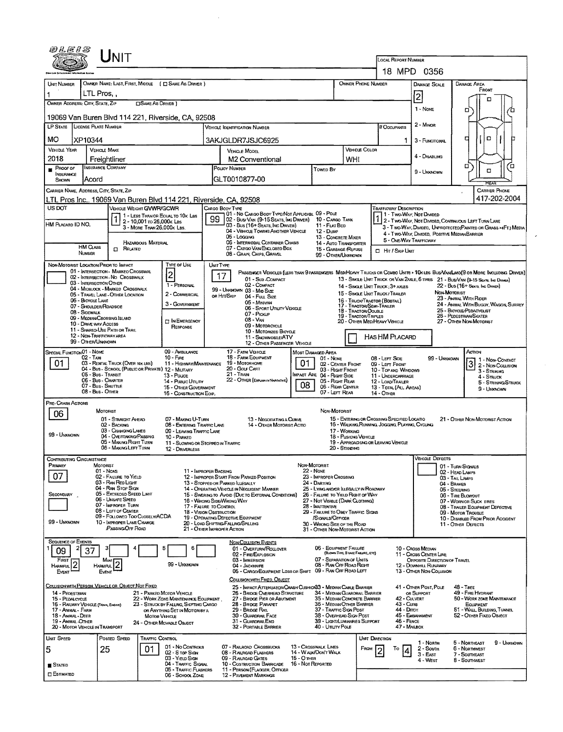|                                                                                                                                                                                      |                                                              | UNIT                                                                            |                            |                                                                                 |                                                                                                                              |                                                                                                                                 |                                                                                              |                                 |                                                                       |                                                               |                                                                                                                                                                             |                                                                                                |                      |                                                                                        |                                                                                        |                                                                                                                               |                                      |    |
|--------------------------------------------------------------------------------------------------------------------------------------------------------------------------------------|--------------------------------------------------------------|---------------------------------------------------------------------------------|----------------------------|---------------------------------------------------------------------------------|------------------------------------------------------------------------------------------------------------------------------|---------------------------------------------------------------------------------------------------------------------------------|----------------------------------------------------------------------------------------------|---------------------------------|-----------------------------------------------------------------------|---------------------------------------------------------------|-----------------------------------------------------------------------------------------------------------------------------------------------------------------------------|------------------------------------------------------------------------------------------------|----------------------|----------------------------------------------------------------------------------------|----------------------------------------------------------------------------------------|-------------------------------------------------------------------------------------------------------------------------------|--------------------------------------|----|
|                                                                                                                                                                                      |                                                              |                                                                                 |                            |                                                                                 |                                                                                                                              |                                                                                                                                 |                                                                                              |                                 |                                                                       |                                                               |                                                                                                                                                                             | <b>LOCAL REPORT NUMBER</b>                                                                     |                      | 18 MPD 0356                                                                            |                                                                                        |                                                                                                                               |                                      |    |
| UNIT NUMBER                                                                                                                                                                          |                                                              |                                                                                 |                            | OWNER NAME: LAST, FIRST, MIDDLE ( C SAME AS DRIVER )                            |                                                                                                                              |                                                                                                                                 |                                                                                              |                                 |                                                                       | OWNER PHONE NUMBER                                            |                                                                                                                                                                             |                                                                                                |                      | DAMAGE SCALE                                                                           |                                                                                        | Damage Area                                                                                                                   |                                      |    |
| LTL Pros                                                                                                                                                                             |                                                              |                                                                                 |                            |                                                                                 |                                                                                                                              |                                                                                                                                 |                                                                                              |                                 |                                                                       |                                                               |                                                                                                                                                                             |                                                                                                |                      | 2                                                                                      |                                                                                        | FRONT                                                                                                                         |                                      |    |
| OWNER ADDRESS: CITY, STATE, ZIP<br><b>OSAME AS DRIVER</b> )                                                                                                                          |                                                              |                                                                                 |                            |                                                                                 |                                                                                                                              |                                                                                                                                 |                                                                                              |                                 |                                                                       |                                                               |                                                                                                                                                                             |                                                                                                |                      | 1 - None                                                                               |                                                                                        | o                                                                                                                             |                                      |    |
| 19069 Van Buren Blvd 114 221, Riverside, CA, 92508                                                                                                                                   |                                                              |                                                                                 |                            |                                                                                 |                                                                                                                              |                                                                                                                                 |                                                                                              |                                 |                                                                       |                                                               |                                                                                                                                                                             |                                                                                                |                      |                                                                                        |                                                                                        |                                                                                                                               |                                      |    |
| LP STATE LICENSE PLATE NUMBER                                                                                                                                                        |                                                              |                                                                                 |                            |                                                                                 |                                                                                                                              | <b>VEHICLE IDENTIFICATION NUMBER</b>                                                                                            |                                                                                              |                                 |                                                                       |                                                               |                                                                                                                                                                             | # Occupants                                                                                    |                      | 2 - MINOR                                                                              |                                                                                        |                                                                                                                               |                                      |    |
| MО                                                                                                                                                                                   | XP10344                                                      |                                                                                 |                            |                                                                                 |                                                                                                                              | 3AKJGLDR7JSJC6925                                                                                                               |                                                                                              |                                 |                                                                       |                                                               |                                                                                                                                                                             |                                                                                                | 1.                   | 3 - FUNCTIONAL                                                                         |                                                                                        | o<br>о                                                                                                                        |                                      |    |
| VEHICLE YEAR<br>2018                                                                                                                                                                 | <b>VEHICLE MAKE</b><br>Freightliner                          |                                                                                 |                            |                                                                                 |                                                                                                                              | VEHICLE MODEL<br>M <sub>2</sub> Conventional                                                                                    |                                                                                              |                                 |                                                                       | WHI                                                           | VEHICLE COLOR                                                                                                                                                               |                                                                                                |                      | 4 - DISABLING                                                                          |                                                                                        |                                                                                                                               |                                      |    |
| PROOF OF<br>INSURANCE                                                                                                                                                                | <b>INSURANCE COMPANY</b>                                     |                                                                                 |                            |                                                                                 | POLICY NUMBER                                                                                                                |                                                                                                                                 |                                                                                              |                                 | Towen By                                                              |                                                               |                                                                                                                                                                             |                                                                                                |                      | □<br>α<br>9 - UNKNOWN                                                                  |                                                                                        |                                                                                                                               |                                      | ″⊡ |
| SHOWN                                                                                                                                                                                | Acord                                                        |                                                                                 |                            |                                                                                 |                                                                                                                              | GLT0010877-00                                                                                                                   |                                                                                              |                                 |                                                                       |                                                               |                                                                                                                                                                             |                                                                                                |                      |                                                                                        |                                                                                        |                                                                                                                               |                                      |    |
| CARRIER NAME, ADDRESS, CITY, STATE, ZIP                                                                                                                                              |                                                              |                                                                                 |                            |                                                                                 |                                                                                                                              |                                                                                                                                 |                                                                                              |                                 |                                                                       |                                                               |                                                                                                                                                                             |                                                                                                |                      |                                                                                        |                                                                                        |                                                                                                                               | <b>CARRIER PHONE</b><br>417-202-2004 |    |
| US DOT                                                                                                                                                                               |                                                              | VEHICLE WEIGHT GVWR/GCWR                                                        |                            | LTL Pros Inc., 19069 Van Buren Blvd 114 221, Riverside, CA, 92508               |                                                                                                                              | CARGO BODY TYPE                                                                                                                 |                                                                                              |                                 |                                                                       |                                                               |                                                                                                                                                                             | <b>TRAFFICWAY DESCRIPTION</b>                                                                  |                      |                                                                                        |                                                                                        |                                                                                                                               |                                      |    |
| HM PLACARD ID NO.                                                                                                                                                                    |                                                              |                                                                                 | 2 - 10,001 to 26,000k Las  | 1 - LESS THAN OR EQUAL TO 10K LBS                                               | 99                                                                                                                           | 101 - No Cargo Body Type/Not Applicabl 09 - Pole<br>02 - Bus/Van (9-15 Seats, Inc Driver) 10 - Cargo Tank                       |                                                                                              |                                 |                                                                       |                                                               |                                                                                                                                                                             |                                                                                                |                      | 1 - Two Way, Not DMDED                                                                 |                                                                                        |                                                                                                                               |                                      |    |
|                                                                                                                                                                                      |                                                              |                                                                                 | 3 - MORE THAN 26,000K LBS. |                                                                                 | 03 - Bus (16+ SEATS, INC DRIVER)<br>11 - FLAT BED<br>04 - VEHICLE TOWING ANOTHER VEHICLE<br>12 - Duse                        |                                                                                                                                 |                                                                                              |                                 |                                                                       |                                                               | 1 2 - TWO-WAY, NOT DIMIDED, CONTINUOUS LEFT TURN LANE<br>3 - T WO-WAY, DIVIDEO, UNPROTECTED (PAINTED OR GRASS >4FT.) MEDIA<br>4 - Two-Way, Divided, Positive Median Barrier |                                                                                                |                      |                                                                                        |                                                                                        |                                                                                                                               |                                      |    |
|                                                                                                                                                                                      | <b>HM CLASS</b>                                              | $\Box$ Related                                                                  | <b>HAZARDOUS MATERIAL</b>  |                                                                                 |                                                                                                                              | 05 - Logging<br>13 - CONCRETE MIXER<br>06 - INTERMODAL CONTAINER CHASIS<br>14 - AUTO TRANSPORTER<br>07 - CARGO VAN ENCLOSED BOX |                                                                                              |                                 |                                                                       |                                                               |                                                                                                                                                                             | 5 - ONE-WAY TRAFFICWAY                                                                         |                      |                                                                                        |                                                                                        |                                                                                                                               |                                      |    |
|                                                                                                                                                                                      | NUMBER                                                       |                                                                                 |                            |                                                                                 |                                                                                                                              | 08 - GRAIN, CHIPS, GRAVEL                                                                                                       |                                                                                              |                                 | 15 - GARBAGE REFUSE<br>99 - OTHER/LINKNOWN                            |                                                               |                                                                                                                                                                             | □ Hrr / Skip UNIT                                                                              |                      |                                                                                        |                                                                                        |                                                                                                                               |                                      |    |
| NON-MOTORIST LOCATION PRIOR TO IMPACT                                                                                                                                                |                                                              | 01 - INTERSECTION - MARKEO CROSSWAL                                             |                            | TYPE OF USE                                                                     | UNIT TYPE                                                                                                                    |                                                                                                                                 |                                                                                              |                                 |                                                                       |                                                               |                                                                                                                                                                             |                                                                                                |                      |                                                                                        |                                                                                        | PASSENGER VEHICLES (LESS THAN 9 PASSENGERS MED/HEAVY TRUCKS OR COMBO UNITS > 10K LBS BUS/VAN/LIMO(9 OR MORE INCLUDING DRIVER) |                                      |    |
|                                                                                                                                                                                      | 03 - INTERSECTION OTHER                                      | 02 - INTERSECTION - NO CROSSWALK                                                |                            | $\overline{2}$<br>1 - PERSONAL                                                  |                                                                                                                              | 17                                                                                                                              | 01 - Sub-COMPACT<br>02 - COMPACT                                                             |                                 |                                                                       |                                                               |                                                                                                                                                                             | 14 - SINGLE UNIT TRUCK: 3+ AXLES                                                               |                      |                                                                                        |                                                                                        | 13 - SINGLE UNIT TRUCK OR VAN ZAXLE, 6 TIRES 21 - BUS/VAN (9-15 SEATS, INC DRIVER)<br>22 - Bus (16+ Seats, Inc Damer)         |                                      |    |
|                                                                                                                                                                                      |                                                              | 04 - MIOBLOCK - MARKED CROSSWALK<br>05 - TRAVEL LANE - OTHER LOCATION           |                            | 2 - COMMERCIAL                                                                  | 99 - UNKNOWN 03 - Mio Size<br>OR HIT/SKIP<br>04 - Fuu, Size                                                                  |                                                                                                                                 |                                                                                              |                                 |                                                                       |                                                               |                                                                                                                                                                             | 15 - SINGLE UNIT TRUCK / TRAILER                                                               |                      | NON-MOTORIST<br>23 - ANIMAL WITH RIDER                                                 |                                                                                        |                                                                                                                               |                                      |    |
|                                                                                                                                                                                      | 06 - BICYCLE LANE<br>07 - Shoulder/Roadside<br>08 - Sidewalk |                                                                                 |                            | 3 - GOVERNMENT                                                                  | 16 - TRUCK/TRACTOR (BOSTAL)<br>05 - Minivan<br>17 - TRACTOR/SEMI-TRAILER<br>06 - SPORT UTIUTY VEHICLE<br>18 - TRACTOR/DOUBLE |                                                                                                                                 |                                                                                              |                                 |                                                                       |                                                               |                                                                                                                                                                             |                                                                                                |                      |                                                                                        |                                                                                        | 24 - ANIMAL WITH BUGGY, WAGON, SURREY<br>25 - BICYCLE/PEDACYCLIST                                                             |                                      |    |
|                                                                                                                                                                                      | 09 - MEDIAN CROSSING ISLAND<br>10 - DRIVE WAY ACCESS         |                                                                                 |                            | <b>IN EMERGENCY</b>                                                             | 07 - PICKUP<br><b>19 - TRACTOR/TRIPLES</b><br>08 - VAN<br>20 - Other Med/Heavy Vehicle                                       |                                                                                                                                 |                                                                                              |                                 |                                                                       |                                                               |                                                                                                                                                                             |                                                                                                |                      |                                                                                        |                                                                                        | 26 - PEDESTRIAN SKATER<br>27 - OTHER NON-MOTORIST                                                                             |                                      |    |
|                                                                                                                                                                                      |                                                              | 11 - SHARED-USE PATH OR TRAIL                                                   |                            | RESPONSE                                                                        | 09 - MOTORCYCLE<br>10 - MOTORIZED BICYCLE                                                                                    |                                                                                                                                 |                                                                                              |                                 |                                                                       |                                                               |                                                                                                                                                                             |                                                                                                |                      |                                                                                        |                                                                                        |                                                                                                                               |                                      |    |
| 12 - NON-TRAFFICWAY AREA<br>HAS HM PLACARD<br>11 - SNOWMOBILE/ATV<br>99 - OTHER/UNKNOWN<br>12 - OTHER PASSENGER VEHICLE                                                              |                                                              |                                                                                 |                            |                                                                                 |                                                                                                                              |                                                                                                                                 |                                                                                              |                                 |                                                                       |                                                               |                                                                                                                                                                             |                                                                                                |                      |                                                                                        |                                                                                        |                                                                                                                               |                                      |    |
| SPECIAL FUNCTION 01 - NOME<br>09 - AMBULANCE<br>$02 - T_Ax_0$<br>$10 -$ FiRE<br>03 - RENTAL TRUCK (OVER 10K LBS)                                                                     |                                                              |                                                                                 |                            |                                                                                 |                                                                                                                              | 17 - FARM VEHICLE<br>MOST DAMAGED AREA<br>18 - FARM EQUIPMENT<br>01 - NONE                                                      |                                                                                              |                                 |                                                                       |                                                               |                                                                                                                                                                             | 08 - LEFT SIDE                                                                                 |                      |                                                                                        | 99 - Unknown                                                                           | Аслон                                                                                                                         | 1 1 - Non-Contact                    |    |
| 01                                                                                                                                                                                   | 05 - Bus - Transit                                           |                                                                                 |                            | 11 - HIGHWAY/MAINTENANCE<br>04 - Bus - SCHOOL (PUBLIC OR PRIVATE) 12 - MILITARY | 01<br>19 Мотовноме<br>20 - Golf Cart<br>21 - Train                                                                           |                                                                                                                                 |                                                                                              |                                 |                                                                       | 02 - CENTER FRONT<br>09 - LEFT FRONT<br>03 - Right Front      |                                                                                                                                                                             |                                                                                                | 10 - TOP AND WINDOWS |                                                                                        |                                                                                        | 3 2 - Non-Coursion                                                                                                            | 3 - STRINNG                          |    |
| 13 - Pouce<br>06 - Bus - Charter<br>14 - Pusuc Ununy<br>07 - Bus - SHUTTLE<br>15 - OTHER GOVERNMENT                                                                                  |                                                              |                                                                                 |                            |                                                                                 |                                                                                                                              | IMPACT ARE 04 - RIGHT SIDE<br>22 - OTHER (EXPLAN IN NARRATIVE)<br>05 - Right Rear<br>08<br>06 - REAR CENTER                     |                                                                                              |                                 |                                                                       |                                                               |                                                                                                                                                                             | 11 - UNDERCARRIAGE<br>12 - LOAD/TRAILER<br>13 - TOTAL (ALL AREAS)                              |                      |                                                                                        |                                                                                        |                                                                                                                               | $4 -$ Struck<br>5 - STRIKING/STRUCK  |    |
|                                                                                                                                                                                      | 08 - Bus - OTHER                                             |                                                                                 |                            | 16 - CONSTRUCTION EOIP,                                                         |                                                                                                                              | 07 - LEFT REAR                                                                                                                  |                                                                                              |                                 |                                                                       |                                                               |                                                                                                                                                                             | 14 - Отнев                                                                                     |                      |                                                                                        |                                                                                        |                                                                                                                               | 9 - Unknown                          |    |
| <b>PRE-CRASH ACTIONS</b>                                                                                                                                                             | MOTORIST                                                     |                                                                                 |                            |                                                                                 |                                                                                                                              |                                                                                                                                 |                                                                                              |                                 | NON-MOTORIST                                                          |                                                               |                                                                                                                                                                             |                                                                                                |                      |                                                                                        |                                                                                        |                                                                                                                               |                                      |    |
| 06                                                                                                                                                                                   |                                                              | 01 - STRAIGHT AHEAD<br>02 - BACKING                                             |                            | 07 - MAKING U-TURN<br>08 - ENTERING TRAFFIC LANE                                |                                                                                                                              |                                                                                                                                 | 13 - Negotiating a Curve<br>14 - OTHER MOTORIST ACTIO                                        |                                 |                                                                       |                                                               |                                                                                                                                                                             | 15 - ENTERING OR CROSSING SPECIFIED LOCATIO<br>16 - WALKING, RUNNING, JOGGING, PLAYING, CYCUNG |                      |                                                                                        |                                                                                        | 21 - OTHER NON-MOTORIST ACTION                                                                                                |                                      |    |
| 99 - Unknown                                                                                                                                                                         |                                                              | 03 - CHANGING LANES<br>04 - OVERTAKING/PASSING                                  |                            | 09 - LEAVING TRAFFIC LANE<br>10 - PARKED                                        |                                                                                                                              |                                                                                                                                 |                                                                                              |                                 |                                                                       | 17 - WORKING<br>18 - Pushting Vehicle                         |                                                                                                                                                                             |                                                                                                |                      |                                                                                        |                                                                                        |                                                                                                                               |                                      |    |
|                                                                                                                                                                                      |                                                              | 05 - MAKING RIGHT TURN<br>06 - MAKING LEFT TURN                                 |                            | 11 - Slowing or Stopped in Traffic<br>12 - DRIVERLESS                           |                                                                                                                              |                                                                                                                                 |                                                                                              |                                 |                                                                       | 20 - Standing                                                 |                                                                                                                                                                             | 19 - APPROACHING OR LEAVING VEHICLE                                                            |                      |                                                                                        |                                                                                        |                                                                                                                               |                                      |    |
| Contributing Circumstance                                                                                                                                                            |                                                              |                                                                                 |                            |                                                                                 |                                                                                                                              |                                                                                                                                 |                                                                                              |                                 |                                                                       |                                                               |                                                                                                                                                                             |                                                                                                |                      | <b>VEHICLE DEFECTS</b>                                                                 |                                                                                        |                                                                                                                               |                                      |    |
| PRIMARY<br>07                                                                                                                                                                        | MOTORIST<br>$01 - None$                                      | 02 - FAILURE TO YIELD                                                           |                            | 11 - IMPROPER BACKING                                                           |                                                                                                                              | 12 - IMPROPER START FROM PARKED POSITION                                                                                        |                                                                                              | NON-MOTORIST                    | $22 - Now$<br>23 - IMPROPER CROSSING                                  |                                                               |                                                                                                                                                                             |                                                                                                |                      |                                                                                        |                                                                                        | 01 - TURN SIGNALS<br>02 - HEAD LAMPS                                                                                          |                                      |    |
|                                                                                                                                                                                      |                                                              | 03 - RAN Rep Light<br>04 - RAN STOP SIGN                                        |                            |                                                                                 |                                                                                                                              | 13 - STOPPED OR PARKED ILLEGALLY<br>14 - OPERATING VEHICLE IN NEGLIGENT MANNER                                                  |                                                                                              |                                 | 24 - DARTING<br>25 - LYING AND/OR ILLEGALLY IN ROADWAY                |                                                               |                                                                                                                                                                             | 03 - TAILLAMPS<br>04 - BRAKES<br>05 - STEERING                                                 |                      |                                                                                        |                                                                                        |                                                                                                                               |                                      |    |
| SECONDARY                                                                                                                                                                            |                                                              | 05 - Exceeded Speed Limit<br>06 - UNSAFE SPEED                                  |                            |                                                                                 |                                                                                                                              | 15 - Swering to Avoid (DUE TO EXTERNAL CONDITIONS)<br>16 - WRONG SIDE/WRONG WAY                                                 |                                                                                              |                                 | 26 - FALURE TO YIELD FUGHT OF WAY<br>27 - Not Visible (DARK CLOTHING) |                                                               |                                                                                                                                                                             |                                                                                                |                      |                                                                                        |                                                                                        | 06 - TIRE BLOWOUT<br>07 - WORN OR SUCK TIRES                                                                                  |                                      |    |
|                                                                                                                                                                                      |                                                              | 07 - IMPROPER TURN<br>08 - LEFT OF CENTER                                       |                            |                                                                                 |                                                                                                                              | 17 - FALURE TO CONTROL<br>28 - INATTENTIVE<br>18 - Vision Obstruction<br>29 - FAILURE TO OBEY TRAFFIC SIGNS                     |                                                                                              |                                 |                                                                       |                                                               |                                                                                                                                                                             | 08 - TRAILER EQUIPMENT DEFECTIVE<br>09 - MOTOR TROUBLE                                         |                      |                                                                                        |                                                                                        |                                                                                                                               |                                      |    |
| 99 - Unknown                                                                                                                                                                         |                                                              | 09 - FOLLOWED TOO CLOSELY/ACDA<br>10 - IMPROPER LANE CHANGE<br>PASSING OFF ROAD |                            |                                                                                 |                                                                                                                              | 19 - OPERATING DEFECTIVE EQUIPMENT<br>20 - LOAD SHIFTING/FALUNG/SPILLING                                                        |                                                                                              |                                 | /SIGNALS/OFFICER<br>30 - WRONG SIDE OF THE ROAD                       |                                                               |                                                                                                                                                                             |                                                                                                |                      |                                                                                        |                                                                                        | 10 - DISABLED FROM PRIOR ACCIDENT<br>11 - OTHER DEFECTS                                                                       |                                      |    |
|                                                                                                                                                                                      |                                                              |                                                                                 |                            |                                                                                 |                                                                                                                              | 21 - OTHER IMPROPER ACTION                                                                                                      |                                                                                              |                                 | 31 - OTHER NON-MOTORIST ACTION                                        |                                                               |                                                                                                                                                                             |                                                                                                |                      |                                                                                        |                                                                                        |                                                                                                                               |                                      |    |
| <b>SEQUENCE OF EVENTS</b><br>09                                                                                                                                                      | 37                                                           |                                                                                 |                            | 5<br>6                                                                          |                                                                                                                              | <b>NON-COLLISION EVENTS</b>                                                                                                     | 01 - OVERTURN/ROLLOVER                                                                       |                                 | 06 - EQUIPMENT FAILURE                                                | (BLOWN TIRE, BRAKE FALLIRE, ETC)                              |                                                                                                                                                                             |                                                                                                |                      | 10 - Cross Median                                                                      |                                                                                        |                                                                                                                               |                                      |    |
| FIRST I<br>HARMFUL <sup>1</sup> 2                                                                                                                                                    | Most  <br>HARMFUL <sup>WON</sup> 2                           |                                                                                 |                            | 99 - Unknown                                                                    |                                                                                                                              | 02 - FIRE/EXPLOSION<br>03 - IMMERSION<br>04 - JACKKNIFE                                                                         |                                                                                              |                                 | 07 - SEPARATION OF UNITS<br>08 - RAN OFF ROAD RIGHT                   |                                                               |                                                                                                                                                                             |                                                                                                |                      | 11 - Cross Center Line<br><b>OPPOSITE DIRECTION OF TRAVEL</b><br>12 - DOWNHILL RUNAWAY |                                                                                        |                                                                                                                               |                                      |    |
| EVENT                                                                                                                                                                                | EVENT                                                        |                                                                                 |                            |                                                                                 |                                                                                                                              |                                                                                                                                 | 05 - CARGO/EQUEPMENT LOSS OR SHIFT                                                           |                                 | 09 - RAN OFF ROAD LEFT                                                |                                                               |                                                                                                                                                                             |                                                                                                |                      | 13 - OTHER NON-COLLISION                                                               |                                                                                        |                                                                                                                               |                                      |    |
| COLLISION WITH PERSON, VEHICLE OR OBJECT NOT FIXED                                                                                                                                   |                                                              |                                                                                 |                            |                                                                                 |                                                                                                                              |                                                                                                                                 | COLUSION WITH FIXED, OBJECT<br>25 - IMPACT ATTENUATOR/CRASH CUSHION33 - MEDIAN CABLE BARRIER |                                 |                                                                       |                                                               |                                                                                                                                                                             |                                                                                                |                      | 41 - OTHER POST, POLE                                                                  |                                                                                        | <b>48 - TREE</b>                                                                                                              |                                      |    |
| 14 - PEDESTRIAN<br>15 - PEDALCYCLE                                                                                                                                                   |                                                              |                                                                                 |                            | 21 - PARKED MOTOR VEHICLE<br>22 - WORK ZONE MAINTENANCE EQUIPMENT               | 26 - BRIDGE OVERHEAD STRUCTURE<br>27 - BRIDGE PIER OR ABUTMENT                                                               |                                                                                                                                 |                                                                                              |                                 |                                                                       | 34 - MEDIAN GUARDRAIL BARRIER<br>35 - MEDIAN CONCRETE BARRIER |                                                                                                                                                                             |                                                                                                |                      | 49 - FIRE HYDRANT<br>OR SUPPORT<br>42 - CULVERT<br>50 - WORK ZONE MAINTENANCE          |                                                                                        |                                                                                                                               |                                      |    |
| 16 - RAILWAY VEHICLE (TRAIN, ENGINE)<br>23 - STRUCK BY FALLING, SHIFTING CARGO<br>17 - ANIMAL - FARM<br>OR ANYTHING SET IN MOTION BY A<br>18 - Animal - Deer<br><b>MOTOR VEHICLE</b> |                                                              |                                                                                 |                            |                                                                                 |                                                                                                                              | 36 - MEDIAN OTHER BARRIER<br>28 - BRIDGE PARAPET<br>29 - Bridge Rail<br>30 - GUARDRAIL FACE                                     |                                                                                              |                                 |                                                                       |                                                               | 43 - Curs<br>44 - Олтсн<br>37 - TRAFFIC SIGN POST<br>38 - Overhead Sign Post                                                                                                |                                                                                                |                      |                                                                                        | EQUIPMENT<br>51 - WALL, BUILDING, TUNNEL<br>45 - EMBANKMENT<br>52 - OTHER FIXED OBJECT |                                                                                                                               |                                      |    |
| 19 - ANIMAL - OTHER<br>20 - MOTOR VEHICLE IN TRANSPORT                                                                                                                               |                                                              |                                                                                 |                            | 24 - OTHER MOVABLE OBJECT                                                       |                                                                                                                              | 31 - GUARDRAILEND<br>39 - LIGHT/LUMINARIES SUPPORT<br>32 - PORTABLE BARRIER<br>40 - Ununy Pous                                  |                                                                                              |                                 |                                                                       |                                                               |                                                                                                                                                                             | 46 - FENCE<br>47 - MAILBOX                                                                     |                      |                                                                                        |                                                                                        |                                                                                                                               |                                      |    |
| UNIT SPEED                                                                                                                                                                           |                                                              | POSTED SPEED                                                                    | <b>TRAFFIC CONTROL</b>     |                                                                                 |                                                                                                                              |                                                                                                                                 |                                                                                              |                                 |                                                                       |                                                               | UNIT DIRECTION                                                                                                                                                              |                                                                                                |                      |                                                                                        |                                                                                        |                                                                                                                               |                                      |    |
| 5                                                                                                                                                                                    | 25                                                           |                                                                                 | 01                         | 01 - No CONTROLS<br>02 - S TOP SIGN                                             |                                                                                                                              | 07 - RAILROAD CROSSBUCKS<br>08 - RAILROAD FLASHERS                                                                              |                                                                                              |                                 | 13 - Crosswalk Lines<br>14 - WALK/DON'T WALK                          |                                                               | FROM                                                                                                                                                                        | To                                                                                             |                      | 1 - Norm<br>2 - South<br>$3 - EAST$                                                    |                                                                                        | 5 - NORTHEAST<br>6 - NORTHWEST<br>7 - SOUTHEAST                                                                               | 9 - Unknown                          |    |
| <b>STATED</b>                                                                                                                                                                        |                                                              |                                                                                 |                            | 03 - YiELD SIGN<br>04 - TRAFFIC SIGNAL                                          |                                                                                                                              | 09 - RAILROAD GATES<br>10 - COSTRUCTION BARRICADE                                                                               |                                                                                              | 15 - Отнев<br>16 - Not Reported |                                                                       |                                                               |                                                                                                                                                                             |                                                                                                |                      | 4 - WEST                                                                               |                                                                                        | 8 - Southwest                                                                                                                 |                                      |    |
| ESTIMATED                                                                                                                                                                            |                                                              |                                                                                 |                            | 05 - TRAFFIC FLASHERS<br>06 - SCHOOL ZONE                                       |                                                                                                                              | 11 - PERSON (FLAGGER, OFFICER<br><b>12 - PAVEMENT MARKINGS</b>                                                                  |                                                                                              |                                 |                                                                       |                                                               |                                                                                                                                                                             |                                                                                                |                      |                                                                                        |                                                                                        |                                                                                                                               |                                      |    |